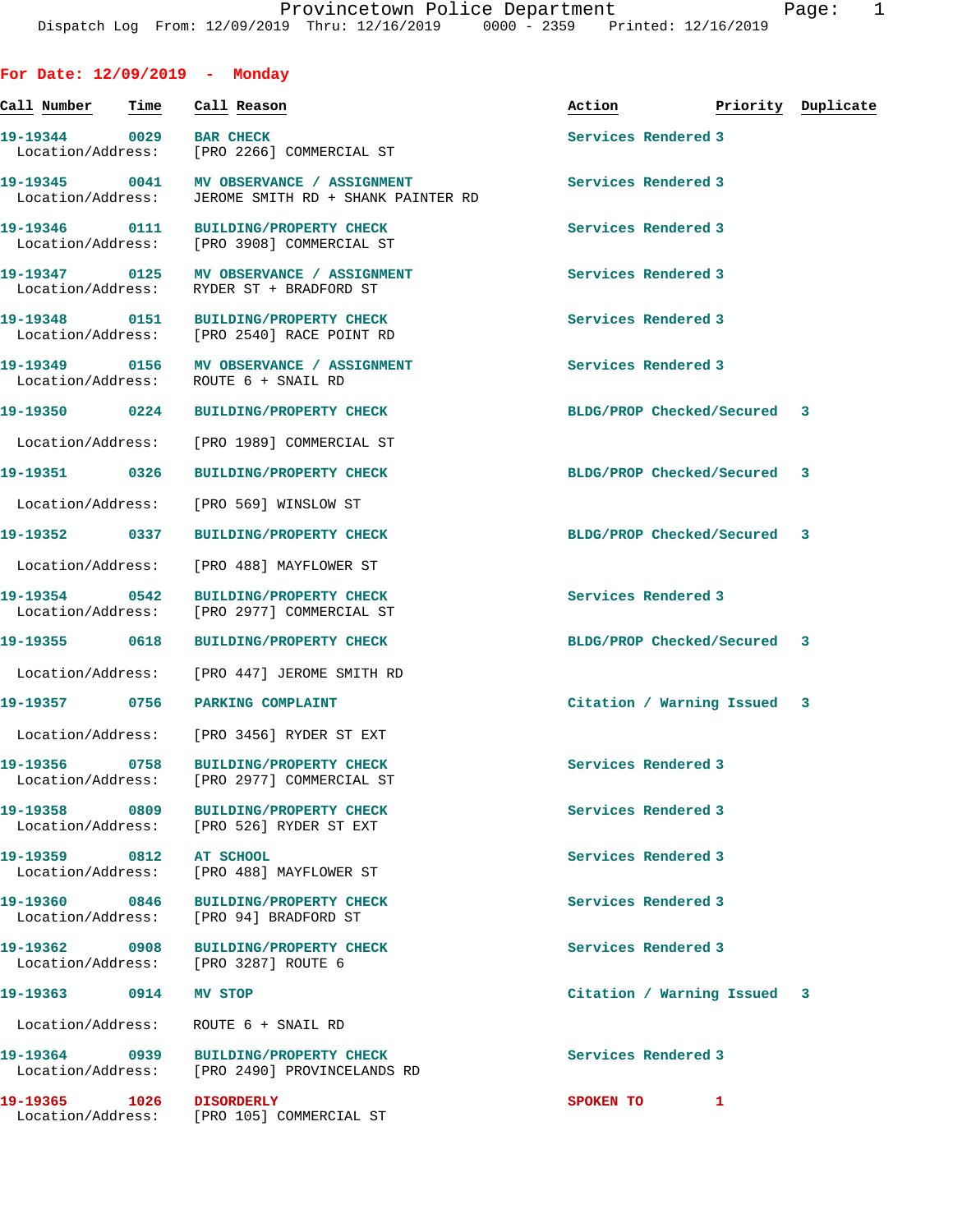| For Date: $12/09/2019$ - Monday              |      |         |                                                                                      |                             |                    |  |
|----------------------------------------------|------|---------|--------------------------------------------------------------------------------------|-----------------------------|--------------------|--|
| Call Number                                  | Time |         | Call Reason                                                                          | Action                      | Priority Duplicate |  |
| 19-19344 0029 BAR CHECK<br>Location/Address: |      |         | [PRO 2266] COMMERCIAL ST                                                             | Services Rendered 3         |                    |  |
| Location/Address:                            |      |         | 19-19345 0041 MV OBSERVANCE / ASSIGNMENT<br>JEROME SMITH RD + SHANK PAINTER RD       | Services Rendered 3         |                    |  |
| Location/Address:                            |      |         | 19-19346  0111 BUILDING/PROPERTY CHECK<br>[PRO 3908] COMMERCIAL ST                   | Services Rendered 3         |                    |  |
|                                              |      |         | 19-19347 0125 MV OBSERVANCE / ASSIGNMENT<br>Location/Address: RYDER ST + BRADFORD ST | Services Rendered 3         |                    |  |
| 19-19348 0151<br>Location/Address:           |      |         | <b>BUILDING/PROPERTY CHECK</b><br>[PRO 2540] RACE POINT RD                           | Services Rendered 3         |                    |  |
| Location/Address:                            |      |         | 19-19349 0156 MV OBSERVANCE / ASSIGNMENT<br>ROUTE 6 + SNAIL RD                       | Services Rendered 3         |                    |  |
|                                              |      |         | 19-19350 0224 BUILDING/PROPERTY CHECK                                                | BLDG/PROP Checked/Secured 3 |                    |  |
|                                              |      |         | Location/Address: [PRO 1989] COMMERCIAL ST                                           |                             |                    |  |
|                                              |      |         | 19-19351 0326 BUILDING/PROPERTY CHECK                                                | BLDG/PROP Checked/Secured 3 |                    |  |
|                                              |      |         | Location/Address: [PRO 569] WINSLOW ST                                               |                             |                    |  |
| 19-19352 0337                                |      |         | <b>BUILDING/PROPERTY CHECK</b>                                                       | BLDG/PROP Checked/Secured 3 |                    |  |
|                                              |      |         | Location/Address: [PRO 488] MAYFLOWER ST                                             |                             |                    |  |
| 19-19354 0542<br>Location/Address:           |      |         | <b>BUILDING/PROPERTY CHECK</b><br>[PRO 2977] COMMERCIAL ST                           | Services Rendered 3         |                    |  |
|                                              |      |         | 19-19355 0618 BUILDING/PROPERTY CHECK                                                | BLDG/PROP Checked/Secured 3 |                    |  |
|                                              |      |         | Location/Address: [PRO 447] JEROME SMITH RD                                          |                             |                    |  |
| 19-19357 0756 PARKING COMPLAINT              |      |         |                                                                                      | Citation / Warning Issued 3 |                    |  |
|                                              |      |         | Location/Address: [PRO 3456] RYDER ST EXT                                            |                             |                    |  |
|                                              |      |         | 19-19356 0758 BUILDING/PROPERTY CHECK<br>Location/Address: [PRO 2977] COMMERCIAL ST  | Services Rendered 3         |                    |  |
|                                              |      |         | 19-19358 0809 BUILDING/PROPERTY CHECK<br>Location/Address: [PRO 526] RYDER ST EXT    | Services Rendered 3         |                    |  |
| 19-19359 0812 AT SCHOOL                      |      |         | Location/Address: [PRO 488] MAYFLOWER ST                                             | Services Rendered 3         |                    |  |
|                                              |      |         | 19-19360 0846 BUILDING/PROPERTY CHECK<br>Location/Address: [PRO 94] BRADFORD ST      | Services Rendered 3         |                    |  |
| Location/Address: [PRO 3287] ROUTE 6         |      |         | 19-19362 0908 BUILDING/PROPERTY CHECK                                                | Services Rendered 3         |                    |  |
| 19-19363 0914                                |      | MV STOP |                                                                                      | Citation / Warning Issued 3 |                    |  |
| Location/Address: ROUTE 6 + SNAIL RD         |      |         |                                                                                      |                             |                    |  |
|                                              |      |         | Location/Address: [PRO 2490] PROVINCELANDS RD                                        | Services Rendered 3         |                    |  |
|                                              |      |         | Location/Address: [PRO 105] COMMERCIAL ST                                            | SPOKEN TO                   | 1                  |  |
|                                              |      |         |                                                                                      |                             |                    |  |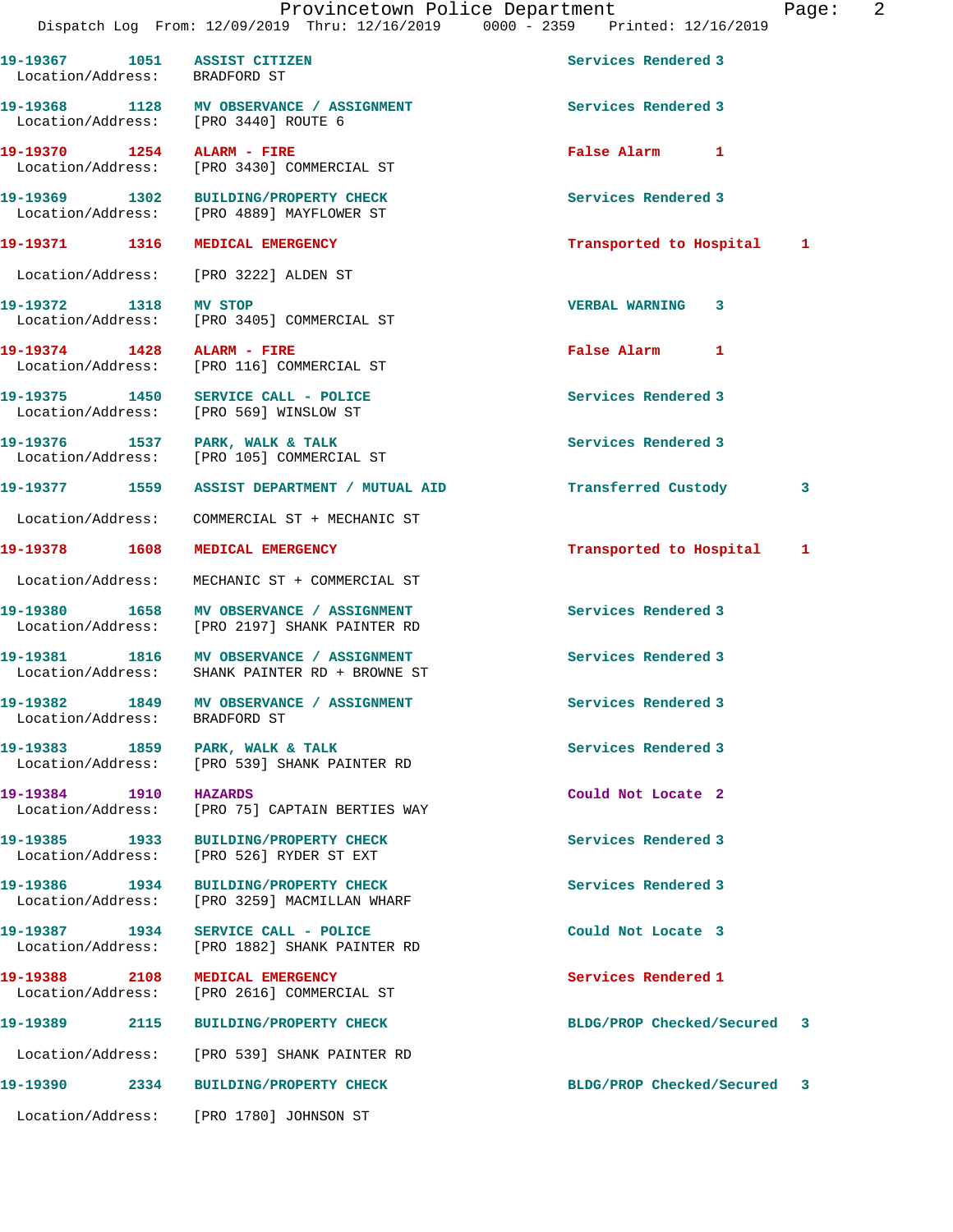**19-19367 1051 ASSIST CITIZEN Services Rendered 3** 

 Location/Address: BRADFORD ST 19-19368 1128 MV OBSERVANCE / ASSIGNMENT **Services Rendered 3**  Location/Address: [PRO 3440] ROUTE 6 **19-19370 1254 ALARM - FIRE False Alarm 1**  Location/Address: [PRO 3430] COMMERCIAL ST **19-19369 1302 BUILDING/PROPERTY CHECK Services Rendered 3**  [PRO 4889] MAYFLOWER ST **19-19371 1316 MEDICAL EMERGENCY Transported to Hospital 1** Location/Address: [PRO 3222] ALDEN ST **19-19372 1318 MV STOP VERBAL WARNING 3**  Location/Address: [PRO 3405] COMMERCIAL ST **19-19374 1428 ALARM - FIRE False Alarm 1**  Location/Address: [PRO 116] COMMERCIAL ST **19-19375 1450 SERVICE CALL - POLICE Services Rendered 3**  Location/Address: [PRO 569] WINSLOW ST 19-19376 1537 PARK, WALK & TALK **Services Rendered 3**  Location/Address: [PRO 105] COMMERCIAL ST **19-19377 1559 ASSIST DEPARTMENT / MUTUAL AID Transferred Custody 3** Location/Address: COMMERCIAL ST + MECHANIC ST **19-19378 1608 MEDICAL EMERGENCY Transported to Hospital 1** Location/Address: MECHANIC ST + COMMERCIAL ST **19-19380 1658 MV OBSERVANCE / ASSIGNMENT Services Rendered 3**  Location/Address: [PRO 2197] SHANK PAINTER RD 19-19381 1816 MV OBSERVANCE / ASSIGNMENT **Services Rendered 3**  Location/Address: SHANK PAINTER RD + BROWNE ST **19-19382 1849 MV OBSERVANCE / ASSIGNMENT Services Rendered 3**  Location/Address: BRADFORD ST 19-19383 1859 PARK, WALK & TALK 1998 PARK Services Rendered 3 Location/Address: [PRO 539] SHANK PAINTER RD **19-19384 1910 HAZARDS Could Not Locate 2**  Location/Address: [PRO 75] CAPTAIN BERTIES WAY **19-19385 1933 BUILDING/PROPERTY CHECK Services Rendered 3**  Location/Address: [PRO 526] RYDER ST EXT **19-19386 1934 BUILDING/PROPERTY CHECK Services Rendered 3**  Location/Address: [PRO 3259] MACMILLAN WHARF **19-19387 1934 SERVICE CALL - POLICE Could Not Locate 3**  Location/Address: [PRO 1882] SHANK PAINTER RD **19-19388 2108 MEDICAL EMERGENCY Services Rendered 1**  Location/Address: [PRO 2616] COMMERCIAL ST **19-19389 2115 BUILDING/PROPERTY CHECK BLDG/PROP Checked/Secured 3** Location/Address: [PRO 539] SHANK PAINTER RD **19-19390 2334 BUILDING/PROPERTY CHECK BLDG/PROP Checked/Secured 3**

Location/Address: [PRO 1780] JOHNSON ST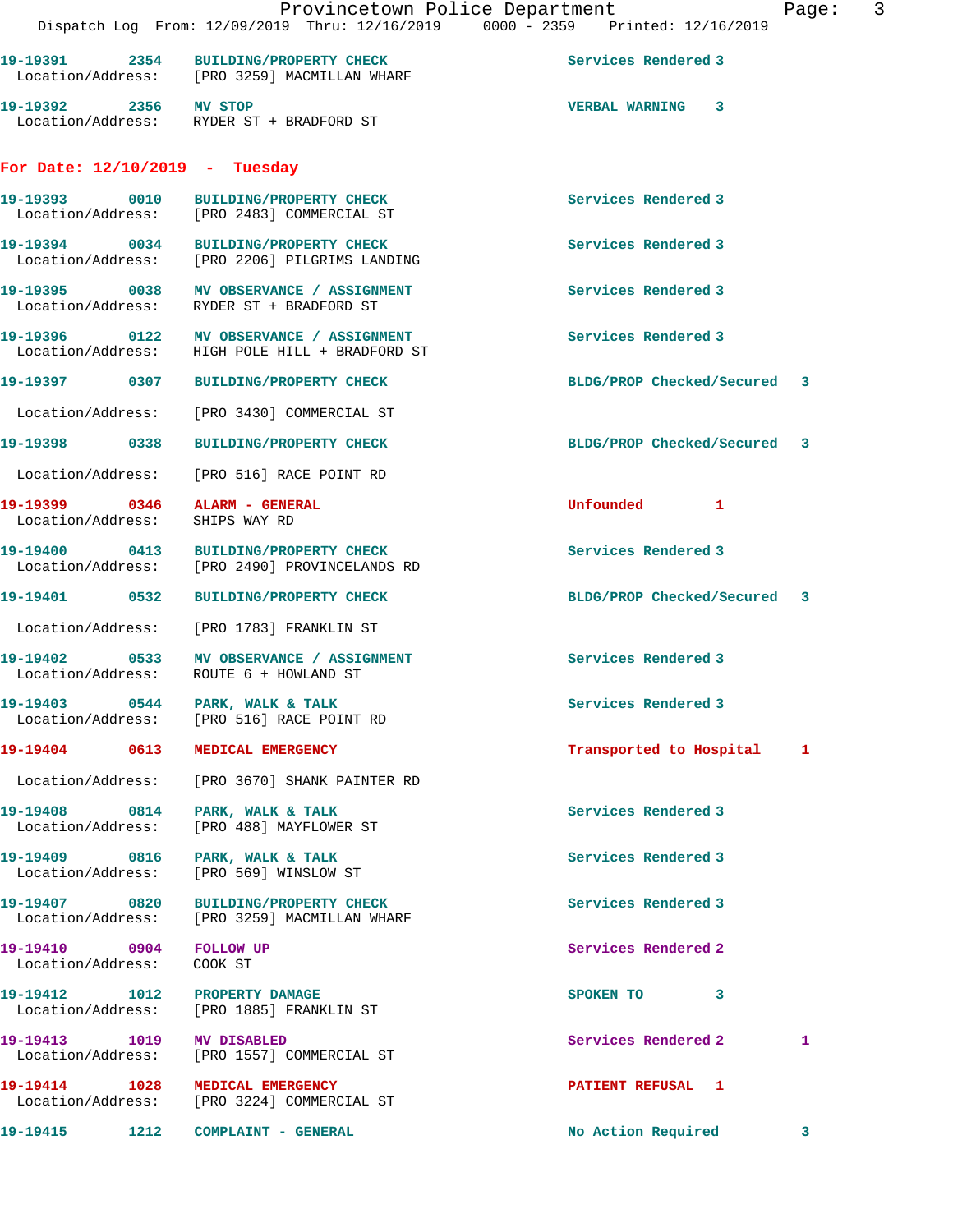|                                    | Provincetown Police Department<br>Dispatch Log From: 12/09/2019 Thru: 12/16/2019 0000 - 2359 Printed: 12/16/2019 |                             | 3<br>Page: |
|------------------------------------|------------------------------------------------------------------------------------------------------------------|-----------------------------|------------|
|                                    | 19-19391 2354 BUILDING/PROPERTY CHECK<br>Location/Address: [PRO 3259] MACMILLAN WHARF                            | Services Rendered 3         |            |
| 19-19392 2356 MV STOP              | Location/Address: RYDER ST + BRADFORD ST                                                                         | <b>VERBAL WARNING 3</b>     |            |
| For Date: $12/10/2019$ - Tuesday   |                                                                                                                  |                             |            |
|                                    | 19-19393 0010 BUILDING/PROPERTY CHECK<br>Location/Address: [PRO 2483] COMMERCIAL ST                              | Services Rendered 3         |            |
|                                    | 19-19394 0034 BUILDING/PROPERTY CHECK<br>Location/Address: [PRO 2206] PILGRIMS LANDING                           | Services Rendered 3         |            |
|                                    | 19-19395 0038 MV OBSERVANCE / ASSIGNMENT<br>Location/Address: RYDER ST + BRADFORD ST                             | Services Rendered 3         |            |
|                                    | 19-19396 0122 MV OBSERVANCE / ASSIGNMENT<br>Location/Address: HIGH POLE HILL + BRADFORD ST                       | Services Rendered 3         |            |
|                                    | 19-19397 0307 BUILDING/PROPERTY CHECK                                                                            | BLDG/PROP Checked/Secured 3 |            |
|                                    | Location/Address: [PRO 3430] COMMERCIAL ST                                                                       |                             |            |
|                                    | 19-19398 0338 BUILDING/PROPERTY CHECK                                                                            | BLDG/PROP Checked/Secured 3 |            |
|                                    | Location/Address: [PRO 516] RACE POINT RD                                                                        |                             |            |
| Location/Address: SHIPS WAY RD     | 19-19399 0346 ALARM - GENERAL                                                                                    | Unfounded 1                 |            |
|                                    | 19-19400 0413 BUILDING/PROPERTY CHECK<br>Location/Address: [PRO 2490] PROVINCELANDS RD                           | Services Rendered 3         |            |
|                                    | 19-19401 0532 BUILDING/PROPERTY CHECK                                                                            | BLDG/PROP Checked/Secured 3 |            |
|                                    | Location/Address: [PRO 1783] FRANKLIN ST                                                                         |                             |            |
|                                    | 19-19402 0533 MV OBSERVANCE / ASSIGNMENT<br>Location/Address: ROUTE 6 + HOWLAND ST                               | Services Rendered 3         |            |
|                                    | 19-19403 0544 PARK, WALK & TALK<br>Location/Address: [PRO 516] RACE POINT RD                                     | Services Rendered 3         |            |
|                                    | 19-19404 0613 MEDICAL EMERGENCY                                                                                  | Transported to Hospital     | 1          |
|                                    | Location/Address: [PRO 3670] SHANK PAINTER RD                                                                    |                             |            |
| 19-19408 0814<br>Location/Address: | PARK, WALK & TALK<br>[PRO 488] MAYFLOWER ST                                                                      | Services Rendered 3         |            |
| Location/Address:                  | 19-19409 0816 PARK, WALK & TALK<br>[PRO 569] WINSLOW ST                                                          | Services Rendered 3         |            |
| 19-19407 0820<br>Location/Address: | <b>BUILDING/PROPERTY CHECK</b><br>[PRO 3259] MACMILLAN WHARF                                                     | Services Rendered 3         |            |
| 19-19410 0904<br>Location/Address: | <b>FOLLOW UP</b><br>COOK ST                                                                                      | Services Rendered 2         |            |
| 19-19412 1012<br>Location/Address: | PROPERTY DAMAGE<br>[PRO 1885] FRANKLIN ST                                                                        | SPOKEN TO 3                 |            |
| 19-19413 1019 MV DISABLED          | Location/Address: [PRO 1557] COMMERCIAL ST                                                                       | Services Rendered 2         | 1          |
|                                    | 19-19414 1028 MEDICAL EMERGENCY<br>Location/Address: [PRO 3224] COMMERCIAL ST                                    | PATIENT REFUSAL 1           |            |
| 19-19415                           | 1212 COMPLAINT - GENERAL                                                                                         | No Action Required          | 3          |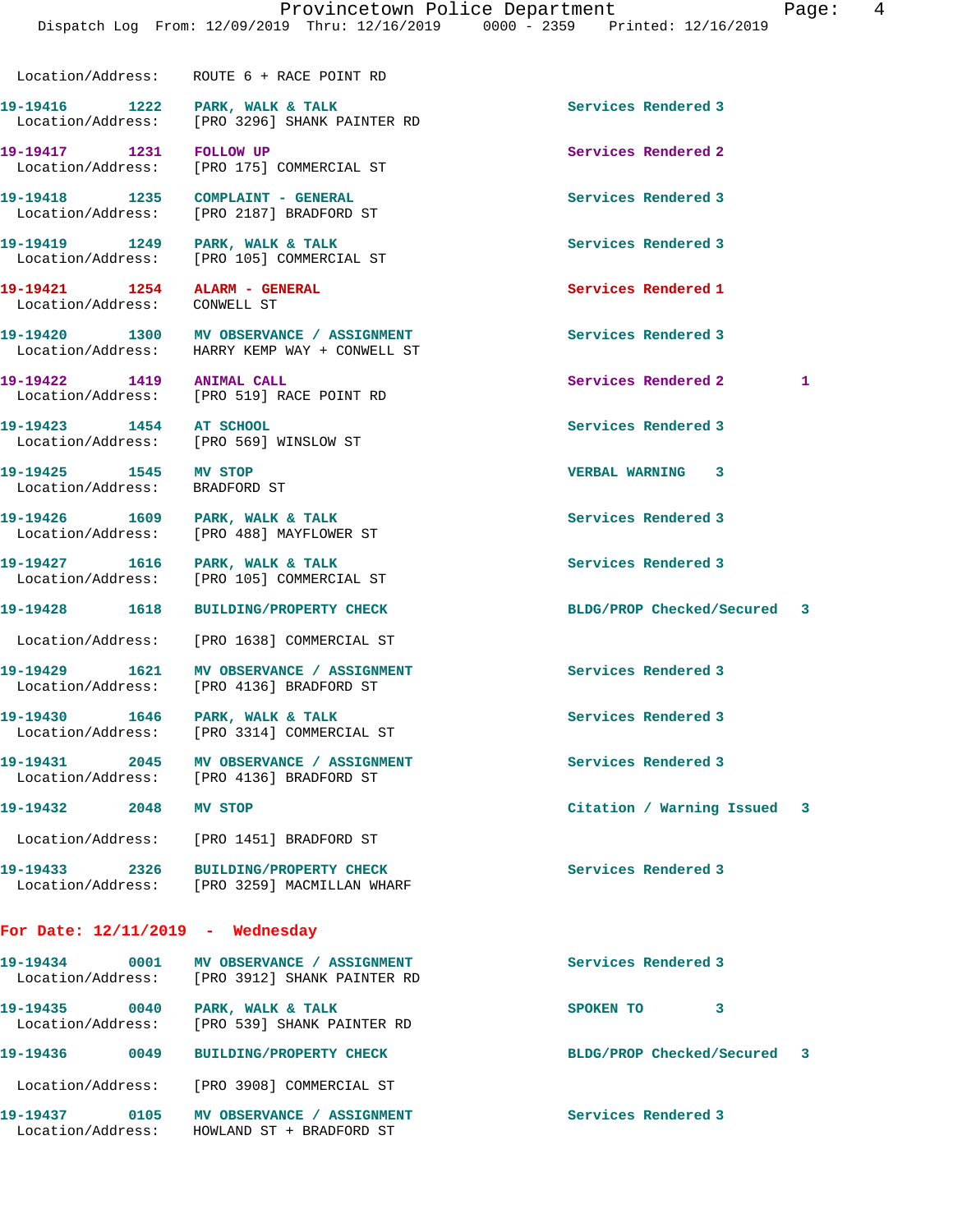Location/Address: ROUTE 6 + RACE POINT RD

19-19416 1222 PARK, WALK & TALK **Services Rendered 3** Location/Address: [PRO 3296] SHANK PAINTER RD

19-19419 **1249** PARK, WALK & TALK **Services Rendered 3** 

**19-19421 1254 ALARM - GENERAL Services Rendered 1**  Location/Address: CONWELL ST

**19-19425 1545 MV STOP VERBAL WARNING 3**  Location/Address: BRADFORD ST

**19-19430 1646 PARK, WALK & TALK Services Rendered 3** 

Location/Address: [PRO 4136] BRADFORD ST

Location/Address: [PRO 1451] BRADFORD ST

Location/Address: HOWLAND ST + BRADFORD ST

**19-19433 2326 BUILDING/PROPERTY CHECK Services Rendered 3**  Location/Address: [PRO 3259] MACMILLAN WHARF

## **For Date: 12/11/2019 - Wednesday**

| 19-19434<br>Location/Address: | 0001 | MV OBSERVANCE / ASSIGNMENT<br>[PRO 3912] SHANK PAINTER RD | Services Rendered 3         |  |
|-------------------------------|------|-----------------------------------------------------------|-----------------------------|--|
| 19-19435<br>Location/Address: | 0040 | PARK, WALK & TALK<br>[PRO 539] SHANK PAINTER RD           | 3<br>SPOKEN TO              |  |
| 19–19436                      | 0049 | <b>BUILDING/PROPERTY CHECK</b>                            | BLDG/PROP Checked/Secured 3 |  |
| Location/Address:             |      | [PRO 3908] COMMERCIAL ST                                  |                             |  |
| 19–19437                      | 0105 | MV OBSERVANCE<br><b>ASSIGNMENT</b>                        | Services Rendered 3         |  |

**19-19417 1231 FOLLOW UP Services Rendered 2**  Location/Address: [PRO 175] COMMERCIAL ST

**19-19418 1235 COMPLAINT - GENERAL Services Rendered 3**  [PRO 2187] BRADFORD ST

Location/Address: [PRO 105] COMMERCIAL ST

**19-19420 1300 MV OBSERVANCE / ASSIGNMENT Services Rendered 3**  Location/Address: HARRY KEMP WAY + CONWELL ST

Location/Address: [PRO 519] RACE POINT RD

**19-19423 1454 AT SCHOOL Services Rendered 3** 

Location/Address: [PRO 488] MAYFLOWER ST

Location/Address: [PRO 105] COMMERCIAL ST

Location/Address: [PRO 3314] COMMERCIAL ST

**19-19431 2045 MV OBSERVANCE / ASSIGNMENT Services Rendered 3** 

**19-19422 1419 ANIMAL CALL Services Rendered 2 1** 

**19-19432 2048 MV STOP Citation / Warning Issued 3**

Location/Address: [PRO 569] WINSLOW ST

19-19426 1609 PARK, WALK & TALK **Services Rendered 3** 

**19-19427 1616 PARK, WALK & TALK Services Rendered 3** 

**19-19428 1618 BUILDING/PROPERTY CHECK BLDG/PROP Checked/Secured 3**

Location/Address: [PRO 1638] COMMERCIAL ST

**19-19429 1621 MV OBSERVANCE / ASSIGNMENT Services Rendered 3**  Location/Address: [PRO 4136] BRADFORD ST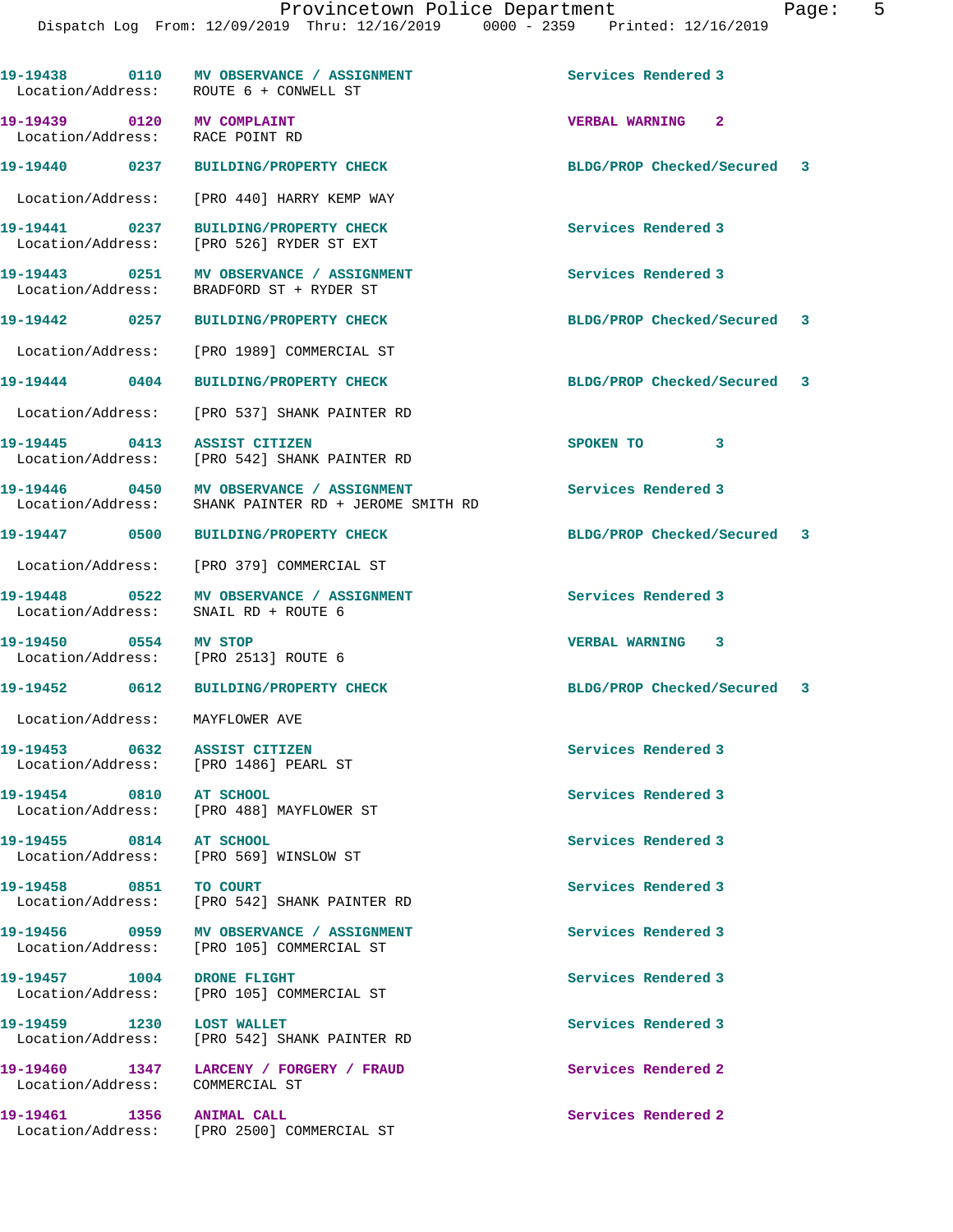| 19-19438 0110                                                     | MV OBSERVANCE / ASSIGNMENT<br>Location/Address: ROUTE 6 + CONWELL ST                  | Services Rendered 3         |
|-------------------------------------------------------------------|---------------------------------------------------------------------------------------|-----------------------------|
| 19-19439   0120   MV COMPLAINT<br>Location/Address: RACE POINT RD |                                                                                       | <b>VERBAL WARNING 2</b>     |
| 19-19440 0237                                                     | <b>BUILDING/PROPERTY CHECK</b>                                                        | BLDG/PROP Checked/Secured 3 |
| Location/Address:                                                 | [PRO 440] HARRY KEMP WAY                                                              |                             |
| 19-19441 0237<br>Location/Address:                                | <b>BUILDING/PROPERTY CHECK</b><br>[PRO 526] RYDER ST EXT                              | Services Rendered 3         |
| 19-19443 0251<br>Location/Address:                                | MV OBSERVANCE / ASSIGNMENT<br>BRADFORD ST + RYDER ST                                  | Services Rendered 3         |
| 19-19442 0257                                                     | <b>BUILDING/PROPERTY CHECK</b>                                                        | BLDG/PROP Checked/Secured 3 |
|                                                                   | Location/Address: [PRO 1989] COMMERCIAL ST                                            |                             |
| 19-19444 0404                                                     | <b>BUILDING/PROPERTY CHECK</b>                                                        | BLDG/PROP Checked/Secured 3 |
| Location/Address:                                                 | [PRO 537] SHANK PAINTER RD                                                            |                             |
| 19-19445 0413                                                     | ASSIST CITIZEN<br>Location/Address: [PRO 542] SHANK PAINTER RD                        | SPOKEN TO 3                 |
| 19-19446 0450<br>Location/Address:                                | MV OBSERVANCE / ASSIGNMENT<br>SHANK PAINTER RD + JEROME SMITH RD                      | Services Rendered 3         |
| 19-19447 0500                                                     | <b>BUILDING/PROPERTY CHECK</b>                                                        | BLDG/PROP Checked/Secured 3 |
| Location/Address:                                                 | [PRO 379] COMMERCIAL ST                                                               |                             |
| 19-19448 0522<br>Location/Address:                                | MV OBSERVANCE / ASSIGNMENT<br>SNAIL RD + ROUTE 6                                      | Services Rendered 3         |
| 19-19450 0554<br>Location/Address: [PRO 2513] ROUTE 6             | MV STOP                                                                               | VERBAL WARNING 3            |
| 19-19452 0612                                                     | <b>BUILDING/PROPERTY CHECK</b>                                                        | BLDG/PROP Checked/Secured 3 |
| Location/Address: MAYFLOWER AVE                                   |                                                                                       |                             |
| 19-19453<br>0632                                                  | <b>ASSIST CITIZEN</b><br>Location/Address: [PRO 1486] PEARL ST                        | Services Rendered 3         |
| 19-19454 0810 AT SCHOOL                                           | Location/Address: [PRO 488] MAYFLOWER ST                                              | Services Rendered 3         |
| 19-19455 0814 AT SCHOOL                                           | Location/Address: [PRO 569] WINSLOW ST                                                | Services Rendered 3         |
| 19-19458 0851                                                     | TO COURT<br>Location/Address: [PRO 542] SHANK PAINTER RD                              | Services Rendered 3         |
|                                                                   | 19-19456 0959 MV OBSERVANCE / ASSIGNMENT<br>Location/Address: [PRO 105] COMMERCIAL ST | Services Rendered 3         |
| 19-19457 1004 DRONE FLIGHT                                        | Location/Address: [PRO 105] COMMERCIAL ST                                             | Services Rendered 3         |
| 19-19459 1230 LOST WALLET                                         | Location/Address: [PRO 542] SHANK PAINTER RD                                          | Services Rendered 3         |
| Location/Address: COMMERCIAL ST                                   | 19-19460 1347 LARCENY / FORGERY / FRAUD                                               | Services Rendered 2         |
| 19-19461 1356 ANIMAL CALL                                         | Location/Address: [PRO 2500] COMMERCIAL ST                                            | Services Rendered 2         |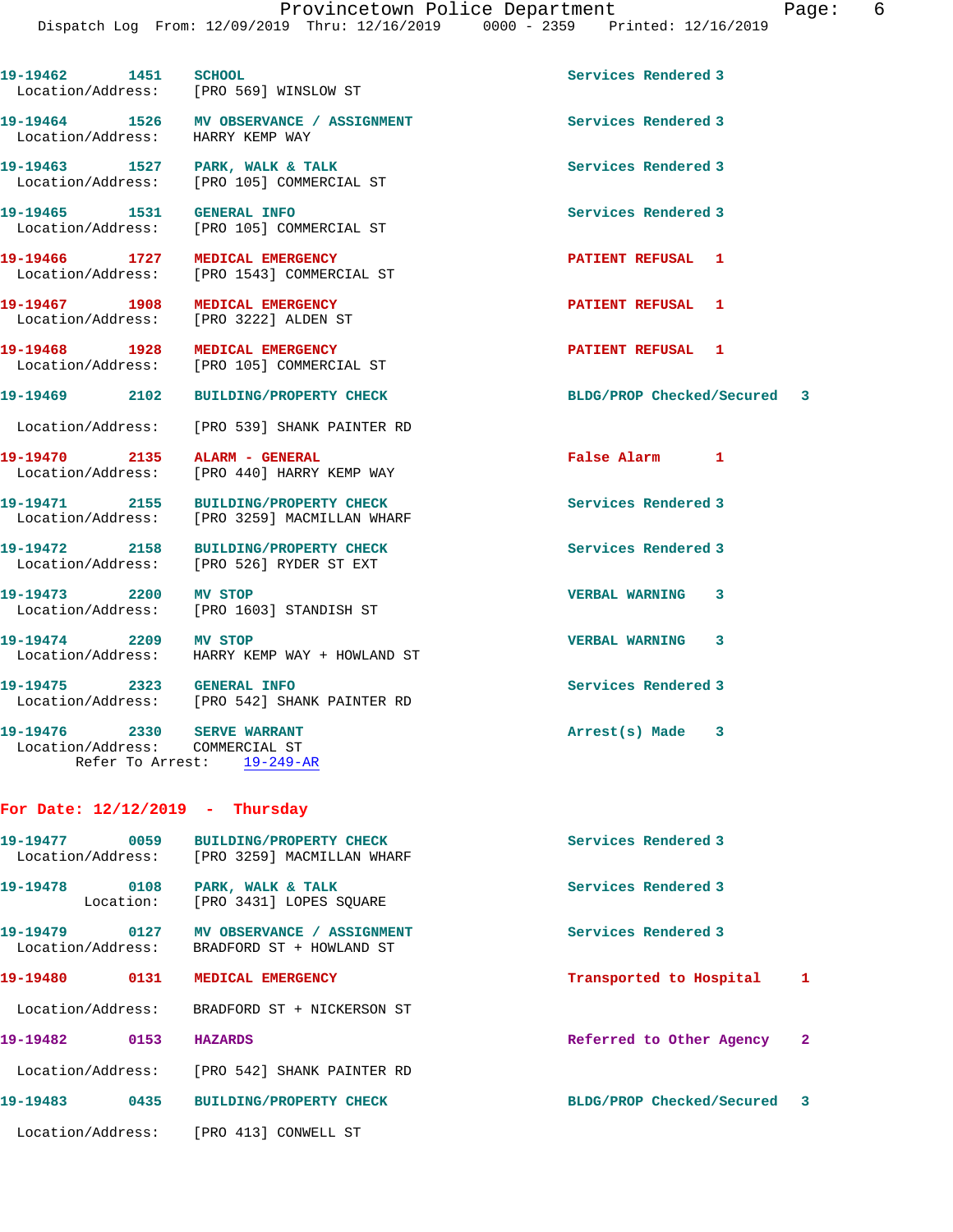**19-19462 1451 SCHOOL Services Rendered 3** 

**19-19464 1526 MV OBSERVANCE / ASSIGNMENT Services Rendered 3** 

**19-19463 1527 PARK, WALK & TALK Services Rendered 3** 

19-19465 1531 GENERAL INFO 19-19465 Services Rendered 3<br>
Location/Address: [PRO 105] COMMERCIAL ST [PRO 105] COMMERCIAL ST **19-19466 1727 MEDICAL EMERGENCY PATIENT REFUSAL 1**  Location/Address: [PRO 1543] COMMERCIAL ST **19-19467 1908 MEDICAL EMERGENCY PATIENT REFUSAL 1**  Location/Address: [PRO 3222] ALDEN ST **19-19468 1928 MEDICAL EMERGENCY PATIENT REFUSAL 1**  Location/Address: [PRO 105] COMMERCIAL ST **19-19469 2102 BUILDING/PROPERTY CHECK BLDG/PROP Checked/Secured 3** Location/Address: [PRO 539] SHANK PAINTER RD **19-19470 2135 ALARM - GENERAL False Alarm 1**  Location/Address: [PRO 440] HARRY KEMP WAY 19-19471 2155 BUILDING/PROPERTY CHECK **Services Rendered 3**  Location/Address: [PRO 3259] MACMILLAN WHARF **19-19472 2158 BUILDING/PROPERTY CHECK Services Rendered 3**  Location/Address: [PRO 526] RYDER ST EXT **19-19473 2200 MV STOP VERBAL WARNING 3**  Location/Address: [PRO 1603] STANDISH ST **19-19474 2209 MV STOP VERBAL WARNING 3**  Location/Address: HARRY KEMP WAY + HOWLAND ST **19-19475 2323 GENERAL INFO Services Rendered 3**  Location/Address: [PRO 542] SHANK PAINTER RD

19-19476 2330 SERVE WARRANT **Arrest(s)** Made 3 Location/Address: COMMERCIAL ST Refer To Arrest: 19-249-AR

Location/Address: [PRO 569] WINSLOW ST

Location/Address: [PRO 105] COMMERCIAL ST

Location/Address: HARRY KEMP WAY

## **For Date: 12/12/2019 - Thursday**

| 0059<br>19–19477<br>Location/Address: | <b>BUILDING/PROPERTY CHECK</b><br>[PRO 3259] MACMILLAN WHARF | Services Rendered 3           |
|---------------------------------------|--------------------------------------------------------------|-------------------------------|
| 19-19478<br>0108<br>Location:         | PARK, WALK & TALK<br>[PRO 3431] LOPES SOUARE                 | Services Rendered 3           |
| 0127<br>19–19479<br>Location/Address: | MV OBSERVANCE / ASSIGNMENT<br>BRADFORD ST + HOWLAND ST       | Services Rendered 3           |
| 19-19480<br>0131                      | MEDICAL EMERGENCY                                            | 1<br>Transported to Hospital  |
| Location/Address:                     | BRADFORD ST + NICKERSON ST                                   |                               |
| 19-19482<br>0153                      | <b>HAZARDS</b>                                               | Referred to Other Agency<br>2 |
|                                       | Location/Address: [PRO 542] SHANK PAINTER RD                 |                               |
| 19-19483<br>0435                      | <b>BUILDING/PROPERTY CHECK</b>                               | BLDG/PROP Checked/Secured 3   |
| Location/Address:                     | FPRO 4131<br>CONWELL ST                                      |                               |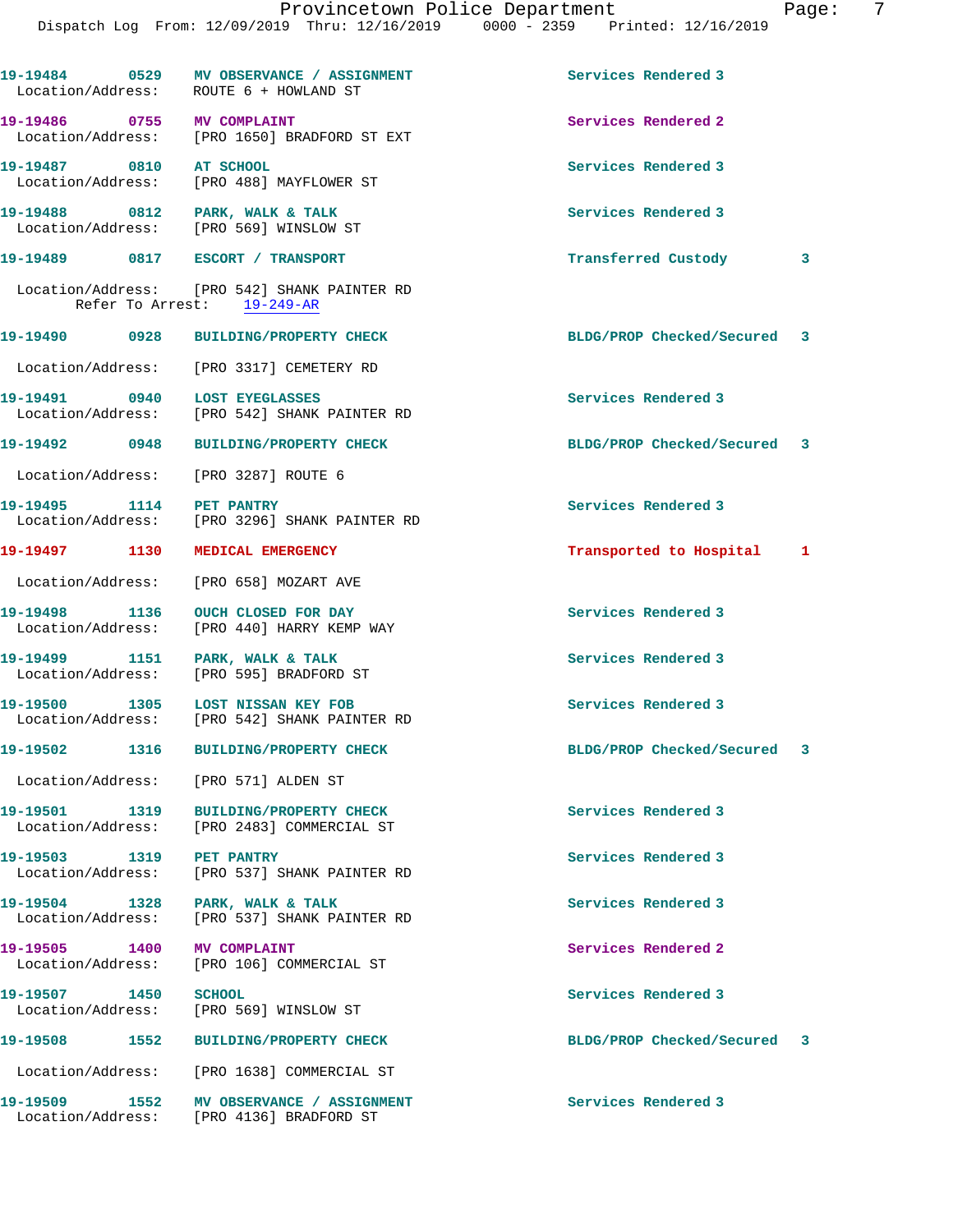|  | 0 - 2359 | Printed: 12/16/2019 |  |
|--|----------|---------------------|--|
|  |          |                     |  |
|  |          |                     |  |

|                                  | 19-19484 0529 MV OBSERVANCE / ASSIGNMENT<br>Location/Address: ROUTE 6 + HOWLAND ST   | Services Rendered 3         |   |
|----------------------------------|--------------------------------------------------------------------------------------|-----------------------------|---|
| 19-19486 0755 MV COMPLAINT       | Location/Address: [PRO 1650] BRADFORD ST EXT                                         | Services Rendered 2         |   |
| 19-19487 0810 AT SCHOOL          | Location/Address: [PRO 488] MAYFLOWER ST                                             | Services Rendered 3         |   |
| 19-19488 0812 PARK, WALK & TALK  | Location/Address: [PRO 569] WINSLOW ST                                               | Services Rendered 3         |   |
| 19-19489 0817 ESCORT / TRANSPORT |                                                                                      | Transferred Custody         | 3 |
|                                  | Location/Address: [PRO 542] SHANK PAINTER RD<br>Refer To Arrest: 19-249-AR           |                             |   |
|                                  | 19-19490 0928 BUILDING/PROPERTY CHECK                                                | BLDG/PROP Checked/Secured 3 |   |
|                                  | Location/Address: [PRO 3317] CEMETERY RD                                             |                             |   |
| 19-19491 0940 LOST EYEGLASSES    | Location/Address: [PRO 542] SHANK PAINTER RD                                         | Services Rendered 3         |   |
|                                  | 19-19492 0948 BUILDING/PROPERTY CHECK                                                | BLDG/PROP Checked/Secured 3 |   |
|                                  | Location/Address: [PRO 3287] ROUTE 6                                                 |                             |   |
| 19-19495 1114 PET PANTRY         | Location/Address: [PRO 3296] SHANK PAINTER RD                                        | Services Rendered 3         |   |
|                                  | 19-19497 1130 MEDICAL EMERGENCY                                                      | Transported to Hospital 1   |   |
|                                  | Location/Address: [PRO 658] MOZART AVE                                               |                             |   |
|                                  | 19-19498 1136 OUCH CLOSED FOR DAY<br>Location/Address: [PRO 440] HARRY KEMP WAY      | Services Rendered 3         |   |
| 19-19499 1151 PARK, WALK & TALK  | Location/Address: [PRO 595] BRADFORD ST                                              | Services Rendered 3         |   |
|                                  | 19-19500 1305 LOST NISSAN KEY FOB<br>Location/Address: [PRO 542] SHANK PAINTER RD    | Services Rendered 3         |   |
|                                  | 19-19502 1316 BUILDING/PROPERTY CHECK                                                | BLDG/PROP Checked/Secured 3 |   |
|                                  | Location/Address: [PRO 571] ALDEN ST                                                 |                             |   |
|                                  | 19-19501 1319 BUILDING/PROPERTY CHECK<br>Location/Address: [PRO 2483] COMMERCIAL ST  | Services Rendered 3         |   |
| 19-19503 1319 PET PANTRY         | Location/Address: [PRO 537] SHANK PAINTER RD                                         | Services Rendered 3         |   |
| 19-19504 1328 PARK, WALK & TALK  | Location/Address: [PRO 537] SHANK PAINTER RD                                         | Services Rendered 3         |   |
| 19-19505 1400 MV COMPLAINT       | Location/Address: [PRO 106] COMMERCIAL ST                                            | Services Rendered 2         |   |
| 19-19507 1450 SCHOOL             | Location/Address: [PRO 569] WINSLOW ST                                               | Services Rendered 3         |   |
|                                  | 19-19508 1552 BUILDING/PROPERTY CHECK                                                | BLDG/PROP Checked/Secured 3 |   |
|                                  | Location/Address: [PRO 1638] COMMERCIAL ST                                           |                             |   |
|                                  | 19-19509 1552 MV OBSERVANCE / ASSIGNMENT<br>Location/Address: [PRO 4136] BRADFORD ST | Services Rendered 3         |   |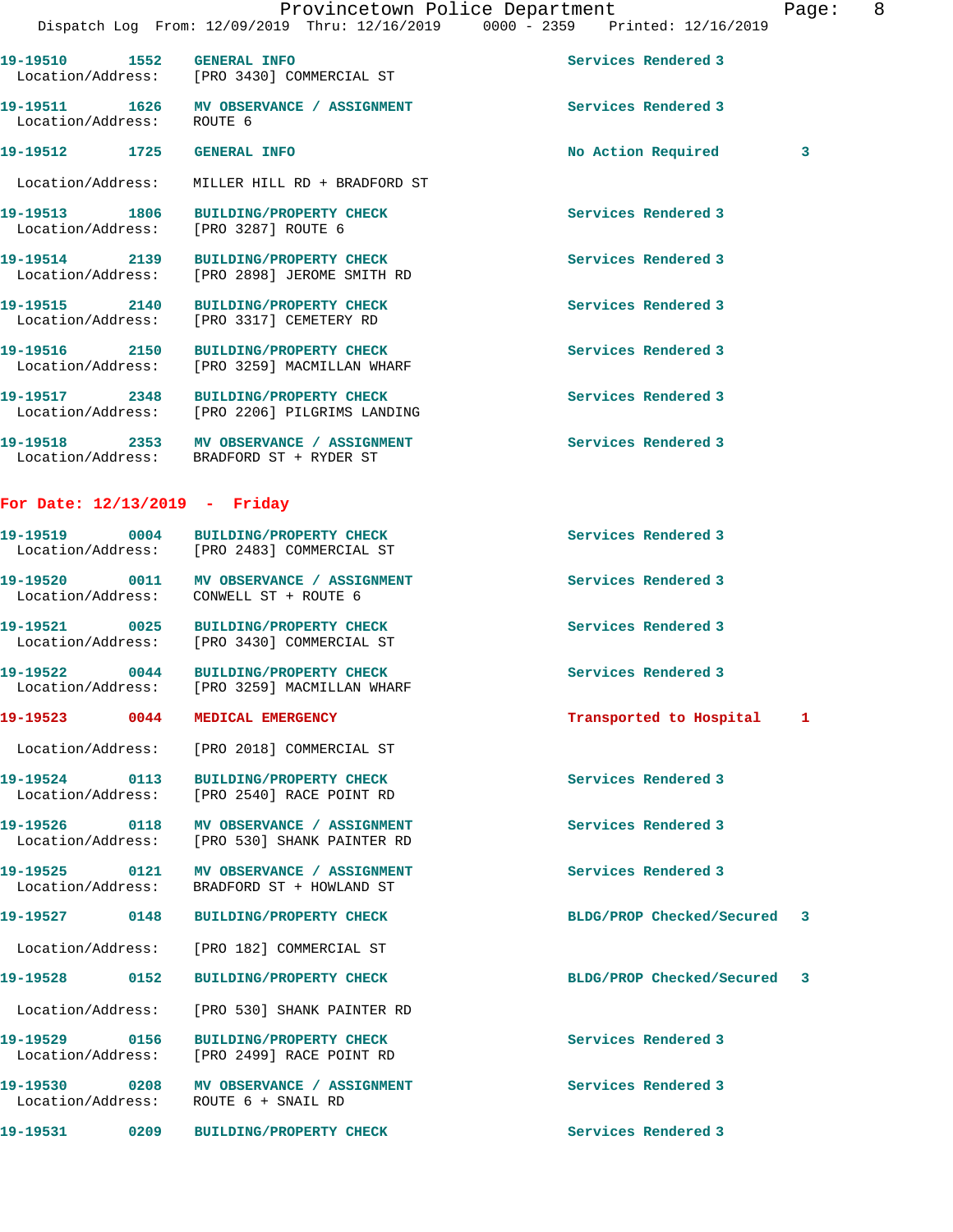Dispatch Log From: 12/09/2019 Thru: 12/16/2019 0000 - 2359 Printed: 12/16/2019 **19-19510 1552 GENERAL INFO Services Rendered 3**  Location/Address: [PRO 3430] COMMERCIAL ST **19-19511 1626 MV OBSERVANCE / ASSIGNMENT Services Rendered 3**  Location/Address: ROUTE 6 **19-19512 1725 GENERAL INFO No Action Required 3** Location/Address: MILLER HILL RD + BRADFORD ST **19-19513 1806 BUILDING/PROPERTY CHECK Services Rendered 3**  Location/Address: [PRO 3287] ROUTE 6 **19-19514 2139 BUILDING/PROPERTY CHECK Services Rendered 3**  Location/Address: [PRO 2898] JEROME SMITH RD **19-19515 2140 BUILDING/PROPERTY CHECK Services Rendered 3**  Location/Address: [PRO 3317] CEMETERY RD **19-19516 2150 BUILDING/PROPERTY CHECK Services Rendered 3**  Location/Address: [PRO 3259] MACMILLAN WHARF **19-19517 2348 BUILDING/PROPERTY CHECK Services Rendered 3**  Location/Address: [PRO 2206] PILGRIMS LANDING 19-19518 2353 MV OBSERVANCE / ASSIGNMENT **Services Rendered 3**  Location/Address: BRADFORD ST + RYDER ST **For Date: 12/13/2019 - Friday 19-19519 0004 BUILDING/PROPERTY CHECK Services Rendered 3**  Location/Address: [PRO 2483] COMMERCIAL ST **19-19520 0011 MV OBSERVANCE / ASSIGNMENT Services Rendered 3**  Location/Address: CONWELL ST + ROUTE 6 **19-19521 0025 BUILDING/PROPERTY CHECK Services Rendered 3**  Location/Address: [PRO 3430] COMMERCIAL ST **19-19522 0044 BUILDING/PROPERTY CHECK Services Rendered 3**  Location/Address: [PRO 3259] MACMILLAN WHARF **19-19523 0044 MEDICAL EMERGENCY Transported to Hospital 1** Location/Address: [PRO 2018] COMMERCIAL ST **19-19524 0113 BUILDING/PROPERTY CHECK Services Rendered 3**  Location/Address: [PRO 2540] RACE POINT RD **19-19526 0118 MV OBSERVANCE / ASSIGNMENT Services Rendered 3**  Location/Address: [PRO 530] SHANK PAINTER RD 19-19525 0121 MV OBSERVANCE / ASSIGNMENT **Services Rendered 3**  Location/Address: BRADFORD ST + HOWLAND ST **19-19527 0148 BUILDING/PROPERTY CHECK BLDG/PROP Checked/Secured 3** Location/Address: [PRO 182] COMMERCIAL ST **19-19528 0152 BUILDING/PROPERTY CHECK BLDG/PROP Checked/Secured 3** Location/Address: [PRO 530] SHANK PAINTER RD **19-19529 0156 BUILDING/PROPERTY CHECK Services Rendered 3** 

Location/Address: ROUTE 6 + SNAIL RD

Location/Address: [PRO 2499] RACE POINT RD

**19-19530 0208 MV OBSERVANCE / ASSIGNMENT Services Rendered 3** 

**19-19531 0209 BUILDING/PROPERTY CHECK Services Rendered 3**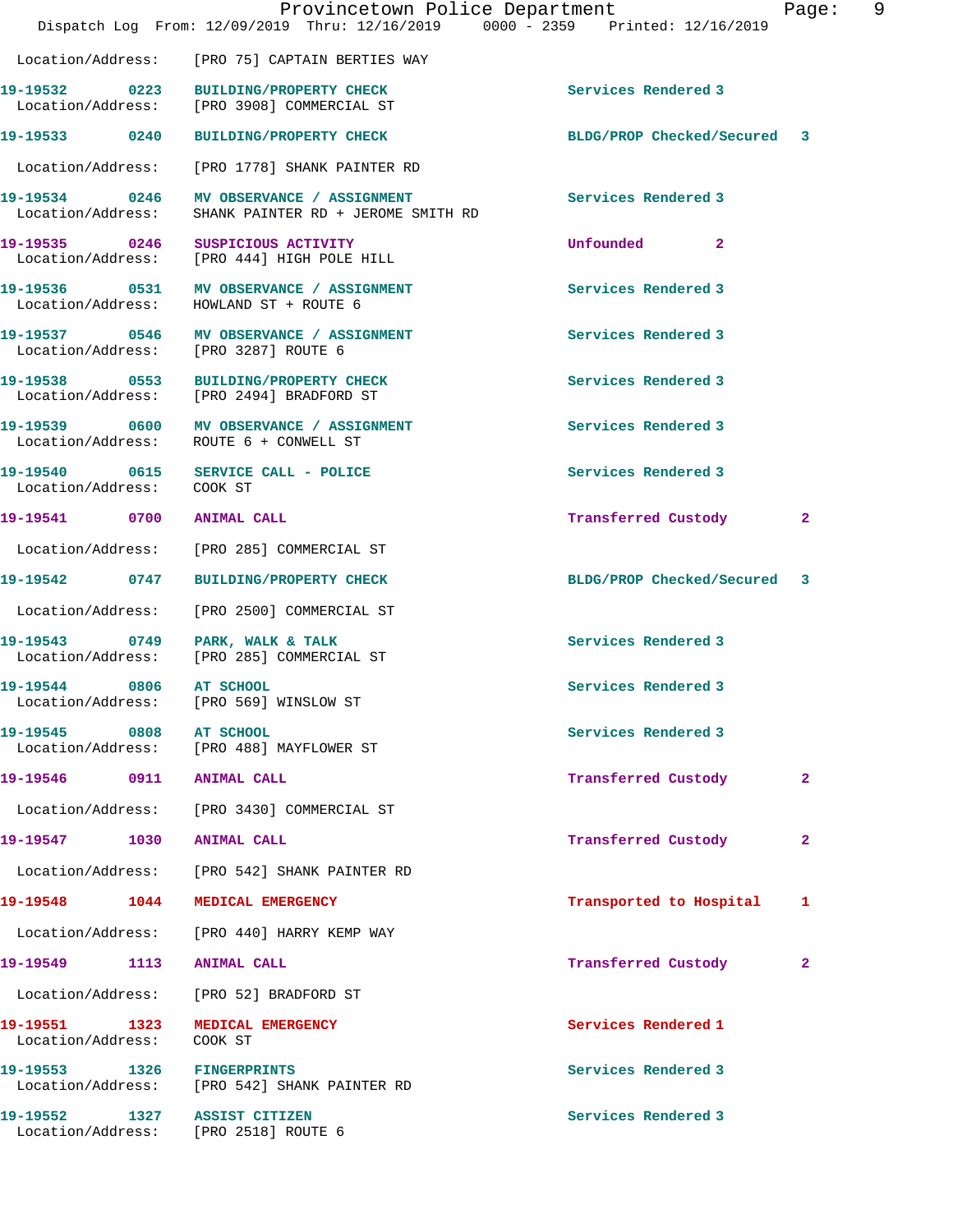|                                    | Provincetown Police Department<br>Dispatch Log From: 12/09/2019 Thru: 12/16/2019 0000 - 2359 Printed: 12/16/2019 |                             | Page: 9      |  |
|------------------------------------|------------------------------------------------------------------------------------------------------------------|-----------------------------|--------------|--|
|                                    | Location/Address: [PRO 75] CAPTAIN BERTIES WAY                                                                   |                             |              |  |
|                                    |                                                                                                                  | Services Rendered 3         |              |  |
|                                    | 19-19533 0240 BUILDING/PROPERTY CHECK                                                                            | BLDG/PROP Checked/Secured 3 |              |  |
|                                    | Location/Address: [PRO 1778] SHANK PAINTER RD                                                                    |                             |              |  |
| Location/Address:                  | 19-19534 0246 MV OBSERVANCE / ASSIGNMENT<br>SHANK PAINTER RD + JEROME SMITH RD                                   | Services Rendered 3         |              |  |
|                                    | 19-19535 0246 SUSPICIOUS ACTIVITY<br>Location/Address: [PRO 444] HIGH POLE HILL                                  | Unfounded 2                 |              |  |
|                                    | 19-19536 0531 MV OBSERVANCE / ASSIGNMENT<br>Location/Address: HOWLAND ST + ROUTE 6                               | Services Rendered 3         |              |  |
|                                    | 19-19537 0546 MV OBSERVANCE / ASSIGNMENT<br>Location/Address: [PRO 3287] ROUTE 6                                 | Services Rendered 3         |              |  |
|                                    | 19-19538 0553 BUILDING/PROPERTY CHECK<br>Location/Address: [PRO 2494] BRADFORD ST                                | Services Rendered 3         |              |  |
|                                    | 19-19539 0600 MV OBSERVANCE / ASSIGNMENT<br>Location/Address: ROUTE 6 + CONWELL ST                               | Services Rendered 3         |              |  |
| Location/Address: COOK ST          | 19-19540 0615 SERVICE CALL - POLICE                                                                              | Services Rendered 3         |              |  |
| 19-19541 0700 ANIMAL CALL          |                                                                                                                  | Transferred Custody         | $\mathbf{2}$ |  |
|                                    | Location/Address: [PRO 285] COMMERCIAL ST                                                                        |                             |              |  |
|                                    | 19-19542 0747 BUILDING/PROPERTY CHECK                                                                            | BLDG/PROP Checked/Secured 3 |              |  |
|                                    | Location/Address: [PRO 2500] COMMERCIAL ST                                                                       |                             |              |  |
|                                    | 19-19543 0749 PARK, WALK & TALK<br>Location/Address: [PRO 285] COMMERCIAL ST                                     | Services Rendered 3         |              |  |
| 19-19544 0806                      | AT SCHOOL<br>Location/Address: [PRO 569] WINSLOW ST                                                              | Services Rendered 3         |              |  |
| 19-19545 0808 AT SCHOOL            | Location/Address: [PRO 488] MAYFLOWER ST                                                                         | Services Rendered 3         |              |  |
| 19-19546 0911 ANIMAL CALL          |                                                                                                                  | Transferred Custody         | $\mathbf{2}$ |  |
|                                    | Location/Address: [PRO 3430] COMMERCIAL ST                                                                       |                             |              |  |
| 19-19547 1030 ANIMAL CALL          |                                                                                                                  | Transferred Custody         | 2            |  |
|                                    | Location/Address: [PRO 542] SHANK PAINTER RD                                                                     |                             |              |  |
|                                    | 19-19548 1044 MEDICAL EMERGENCY                                                                                  | Transported to Hospital     | 1            |  |
|                                    | Location/Address: [PRO 440] HARRY KEMP WAY                                                                       |                             |              |  |
| 19-19549 1113 ANIMAL CALL          |                                                                                                                  | Transferred Custody         | 2            |  |
|                                    | Location/Address: [PRO 52] BRADFORD ST                                                                           |                             |              |  |
| 19-19551 1323<br>Location/Address: | MEDICAL EMERGENCY<br>COOK ST                                                                                     | Services Rendered 1         |              |  |
|                                    | 19-19553 1326 FINGERPRINTS<br>Location/Address: [PRO 542] SHANK PAINTER RD                                       | Services Rendered 3         |              |  |
| 19-19552 1327 ASSIST CITIZEN       | Location/Address: [PRO 2518] ROUTE 6                                                                             | Services Rendered 3         |              |  |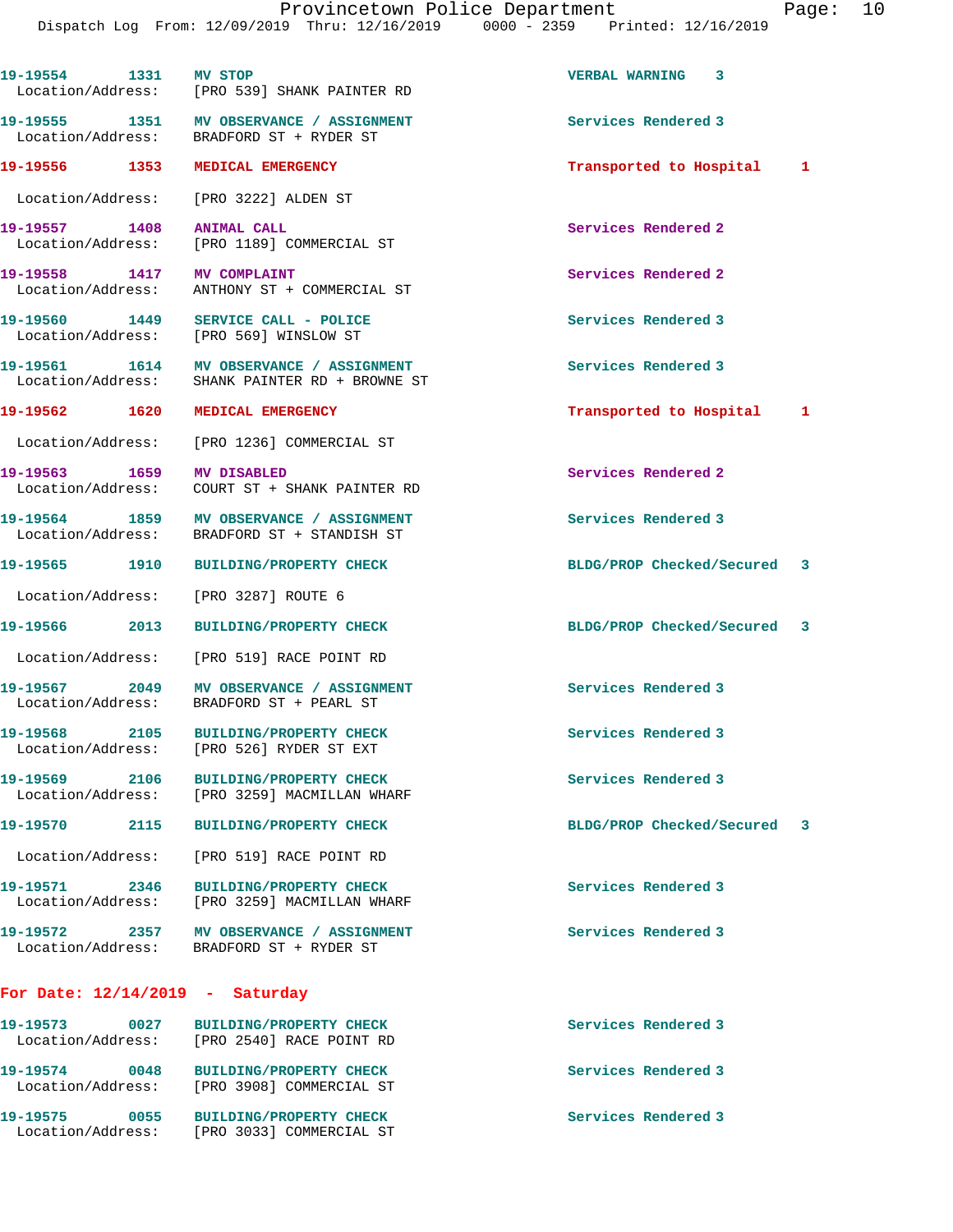Dispatch Log From: 12/09/2019 Thru: 12/16/2019 0000 - 2359 Printed: 12/16/2019 **19-19554 1331 MV STOP VERBAL WARNING 3**  Location/Address: [PRO 539] SHANK PAINTER RD **19-19555 1351 MV OBSERVANCE / ASSIGNMENT Services Rendered 3**  BRADFORD ST + RYDER ST **19-19556 1353 MEDICAL EMERGENCY Transported to Hospital 1** Location/Address: [PRO 3222] ALDEN ST **19-19557 1408 ANIMAL CALL Services Rendered 2**  [PRO 1189] COMMERCIAL ST **19-19558 1417 MV COMPLAINT Services Rendered 2**  Location/Address: ANTHONY ST + COMMERCIAL ST **19-19560 1449 SERVICE CALL - POLICE Services Rendered 3**  Location/Address: [PRO 569] WINSLOW ST **19-19561 1614 MV OBSERVANCE / ASSIGNMENT Services Rendered 3**  Location/Address: SHANK PAINTER RD + BROWNE ST **19-19562 1620 MEDICAL EMERGENCY Transported to Hospital 1** Location/Address: [PRO 1236] COMMERCIAL ST **19-19563 1659 MV DISABLED Services Rendered 2**  Location/Address: COURT ST + SHANK PAINTER RD 19-19564 1859 MV OBSERVANCE / ASSIGNMENT **Services Rendered 3**  Location/Address: BRADFORD ST + STANDISH ST **19-19565 1910 BUILDING/PROPERTY CHECK BLDG/PROP Checked/Secured 3** Location/Address: [PRO 3287] ROUTE 6 **19-19566 2013 BUILDING/PROPERTY CHECK BLDG/PROP Checked/Secured 3** Location/Address: [PRO 519] RACE POINT RD **19-19567 2049 MV OBSERVANCE / ASSIGNMENT Services Rendered 3**  Location/Address: BRADFORD ST + PEARL ST **19-19568 2105 BUILDING/PROPERTY CHECK Services Rendered 3**  Location/Address: [PRO 526] RYDER ST EXT **19-19569 2106 BUILDING/PROPERTY CHECK Services Rendered 3**  [PRO 3259] MACMILLAN WHARF **19-19570 2115 BUILDING/PROPERTY CHECK BLDG/PROP Checked/Secured 3** Location/Address: [PRO 519] RACE POINT RD **19-19571 2346 BUILDING/PROPERTY CHECK Services Rendered 3**  Location/Address: [PRO 3259] MACMILLAN WHARF **19-19572 2357 MV OBSERVANCE / ASSIGNMENT Services Rendered 3**  Location/Address: BRADFORD ST + RYDER ST **For Date: 12/14/2019 - Saturday 19-19573 0027 BUILDING/PROPERTY CHECK Services Rendered 3**  Location/Address: [PRO 2540] RACE POINT RD **19-19574 0048 BUILDING/PROPERTY CHECK Services Rendered 3**  Location/Address: [PRO 3908] COMMERCIAL ST

**19-19575 0055 BUILDING/PROPERTY CHECK Services Rendered 3**  Location/Address: [PRO 3033] COMMERCIAL ST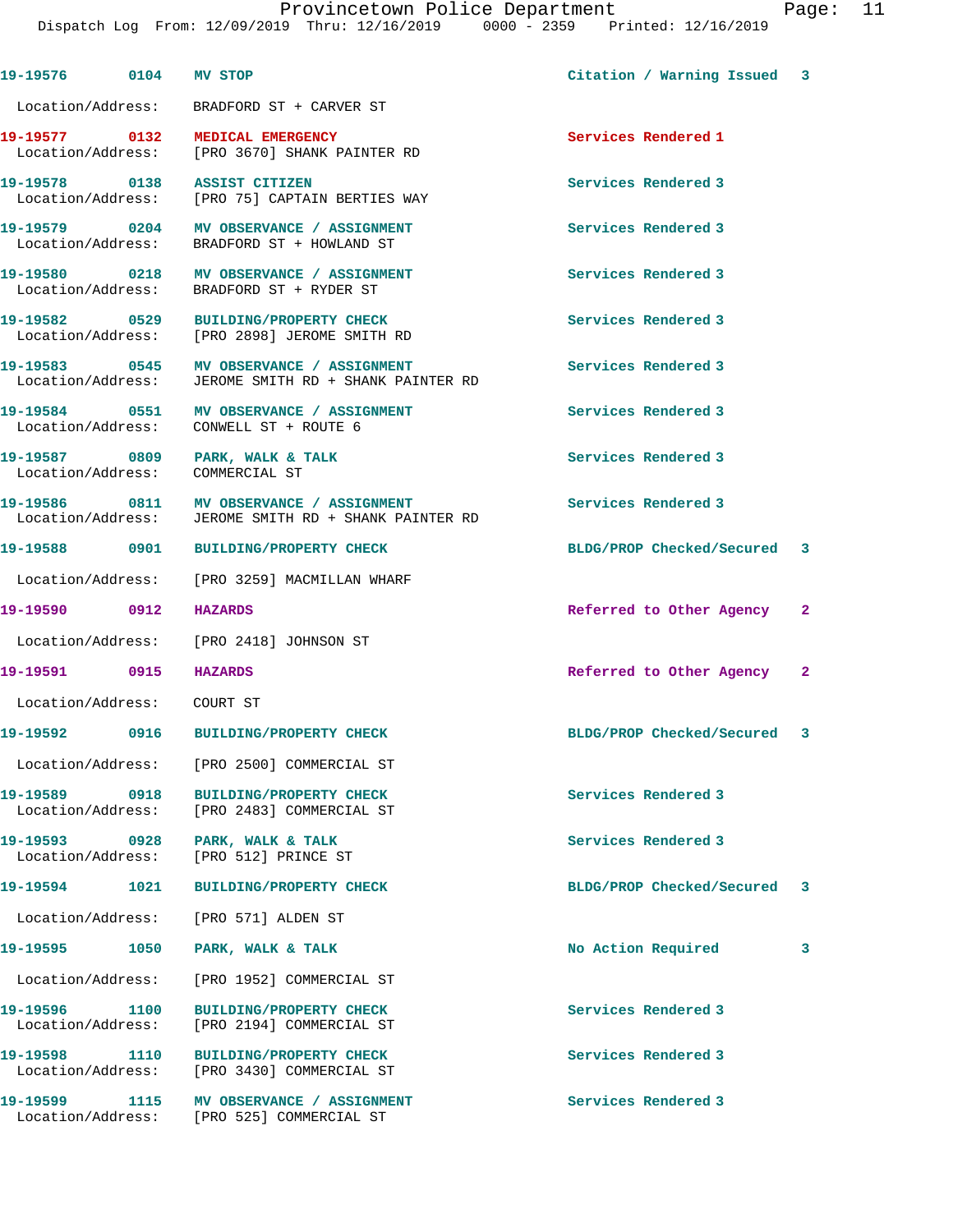Provincetown Police Department Fage: 11 Dispatch Log From: 12/09/2019 Thru: 12/16/2019 0000 - 2359 Printed: 12/16/2019 **19-19576 0104 MV STOP Citation / Warning Issued 3** Location/Address: BRADFORD ST + CARVER ST **19-19577 0132 MEDICAL EMERGENCY Services Rendered 1**  [PRO 3670] SHANK PAINTER RD **19-19578 0138 ASSIST CITIZEN Services Rendered 3**  Location/Address: [PRO 75] CAPTAIN BERTIES WAY 19-19579 0204 MV OBSERVANCE / ASSIGNMENT Services Rendered 3 Location/Address: BRADFORD ST + HOWLAND ST **19-19580 0218 MV OBSERVANCE / ASSIGNMENT Services Rendered 3**  Location/Address: BRADFORD ST + RYDER ST **19-19582 0529 BUILDING/PROPERTY CHECK Services Rendered 3**  Location/Address: [PRO 2898] JEROME SMITH RD **19-19583 0545 MV OBSERVANCE / ASSIGNMENT Services Rendered 3**  Location/Address: JEROME SMITH RD + SHANK PAINTER RD **19-19584 0551 MV OBSERVANCE / ASSIGNMENT Services Rendered 3**  Location/Address: CONWELL ST + ROUTE 6 19-19587 0809 PARK, WALK & TALK **Services Rendered 3**  Location/Address: COMMERCIAL ST **19-19586 0811 MV OBSERVANCE / ASSIGNMENT Services Rendered 3**  Location/Address: JEROME SMITH RD + SHANK PAINTER RD **19-19588 0901 BUILDING/PROPERTY CHECK BLDG/PROP Checked/Secured 3** Location/Address: [PRO 3259] MACMILLAN WHARF **19-19590 0912 HAZARDS Referred to Other Agency 2** Location/Address: [PRO 2418] JOHNSON ST **19-19591 0915 HAZARDS Referred to Other Agency 2** Location/Address: COURT ST **19-19592 0916 BUILDING/PROPERTY CHECK BLDG/PROP Checked/Secured 3** Location/Address: [PRO 2500] COMMERCIAL ST **19-19589 0918 BUILDING/PROPERTY CHECK Services Rendered 3**  Location/Address: [PRO 2483] COMMERCIAL ST **19-19593 0928 PARK, WALK & TALK Services Rendered 3**  Location/Address: [PRO 512] PRINCE ST **19-19594 1021 BUILDING/PROPERTY CHECK BLDG/PROP Checked/Secured 3** Location/Address: [PRO 571] ALDEN ST **19-19595 1050 PARK, WALK & TALK No Action Required 3** Location/Address: [PRO 1952] COMMERCIAL ST **19-19596 1100 BUILDING/PROPERTY CHECK Services Rendered 3**  Location/Address: [PRO 2194] COMMERCIAL ST **19-19598 1110 BUILDING/PROPERTY CHECK Services Rendered 3**  Location/Address: [PRO 3430] COMMERCIAL ST

19-19599 1115 MV OBSERVANCE / ASSIGNMENT **Services Rendered 3** Location/Address: [PRO 525] COMMERCIAL ST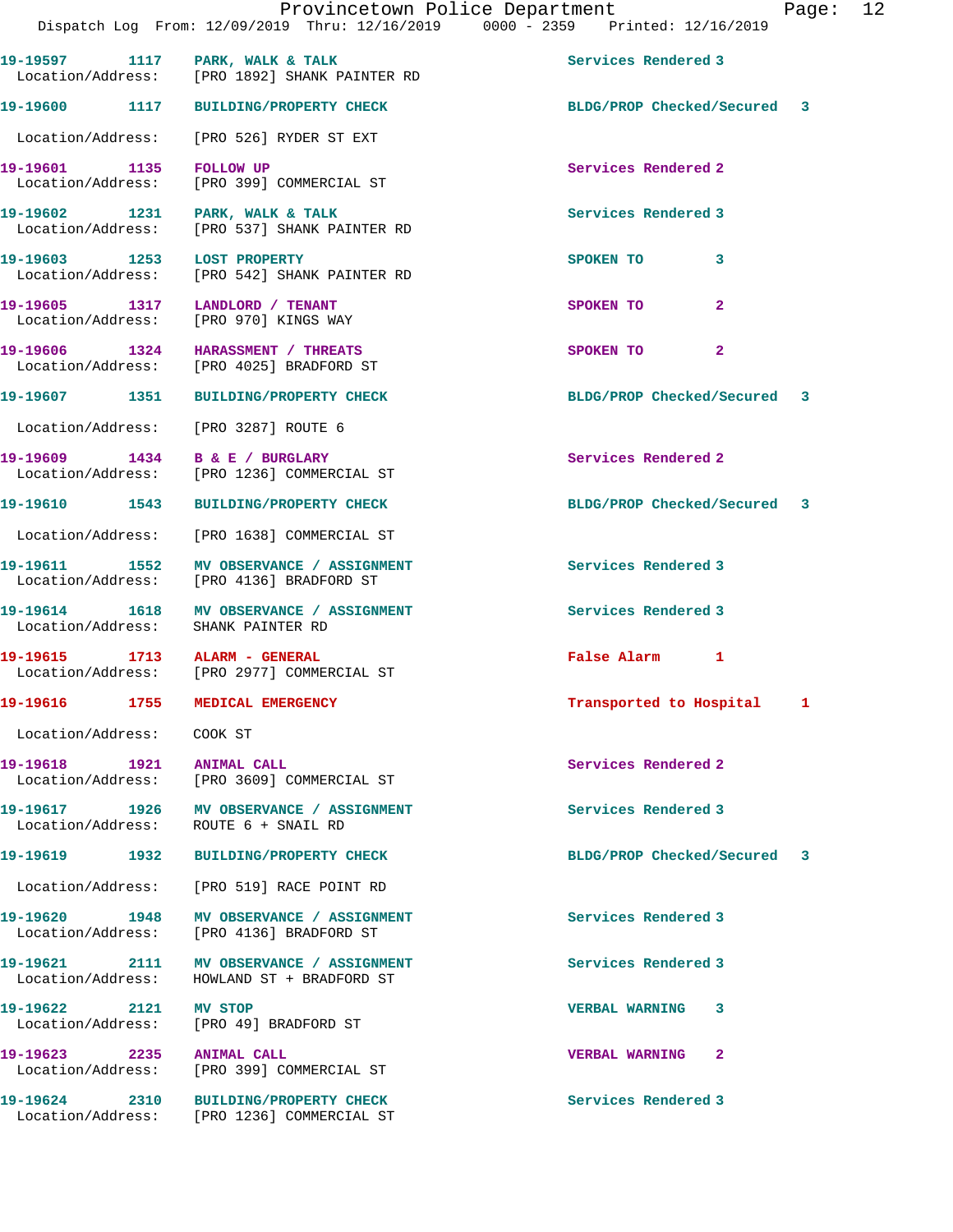| BLDG/PROP Checked/Secured 3 |
|-----------------------------|
|                             |
|                             |
|                             |
|                             |
|                             |
|                             |
|                             |
|                             |
| BLDG/PROP Checked/Secured 3 |
|                             |
|                             |
| BLDG/PROP Checked/Secured 3 |
|                             |
|                             |
|                             |
|                             |
| Transported to Hospital 1   |
|                             |
|                             |
|                             |
| BLDG/PROP Checked/Secured 3 |
|                             |
|                             |
|                             |
|                             |
|                             |
|                             |
|                             |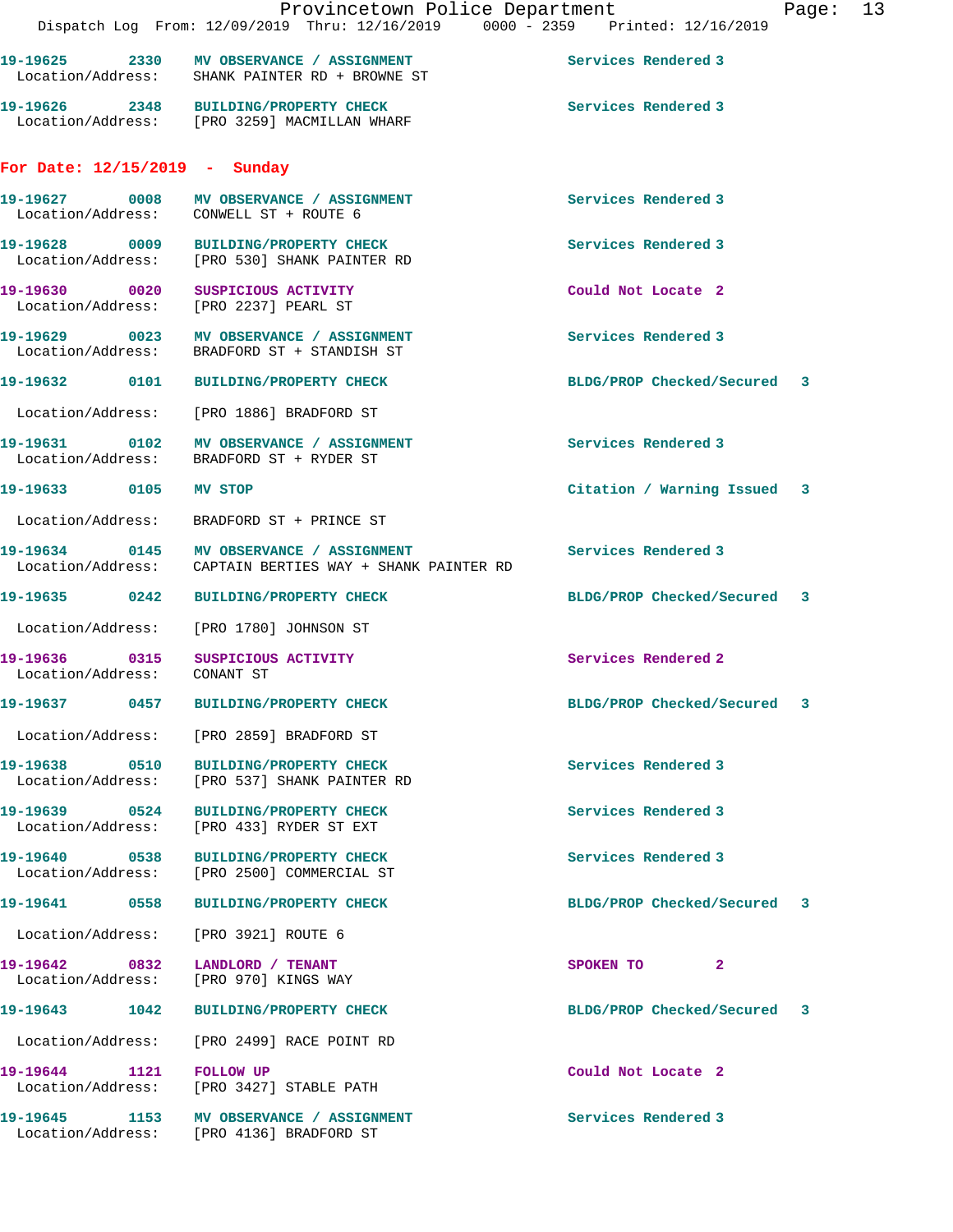|                                                                            | Provincetown Police Department<br>Dispatch Log From: 12/09/2019 Thru: 12/16/2019 0000 - 2359 Printed: 12/16/2019 |                             | Page: 13 |  |
|----------------------------------------------------------------------------|------------------------------------------------------------------------------------------------------------------|-----------------------------|----------|--|
|                                                                            | 19-19625 2330 MV OBSERVANCE / ASSIGNMENT<br>Location/Address: SHANK PAINTER RD + BROWNE ST                       | Services Rendered 3         |          |  |
|                                                                            | 19-19626 2348 BUILDING/PROPERTY CHECK<br>Location/Address: [PRO 3259] MACMILLAN WHARF                            | Services Rendered 3         |          |  |
| For Date: $12/15/2019$ - Sunday                                            |                                                                                                                  |                             |          |  |
| Location/Address: CONWELL ST + ROUTE 6                                     | 19-19627 0008 MV OBSERVANCE / ASSIGNMENT                                                                         | Services Rendered 3         |          |  |
|                                                                            | 19-19628 0009 BUILDING/PROPERTY CHECK<br>Location/Address: [PRO 530] SHANK PAINTER RD                            | Services Rendered 3         |          |  |
| 19-19630 0020 SUSPICIOUS ACTIVITY<br>Location/Address: [PRO 2237] PEARL ST |                                                                                                                  | Could Not Locate 2          |          |  |
|                                                                            | 19-19629 0023 MV OBSERVANCE / ASSIGNMENT<br>Location/Address: BRADFORD ST + STANDISH ST                          | Services Rendered 3         |          |  |
|                                                                            |                                                                                                                  | BLDG/PROP Checked/Secured 3 |          |  |
|                                                                            | Location/Address: [PRO 1886] BRADFORD ST                                                                         |                             |          |  |
|                                                                            | 19-19631 0102 MV OBSERVANCE / ASSIGNMENT<br>Location/Address: BRADFORD ST + RYDER ST                             | Services Rendered 3         |          |  |
|                                                                            |                                                                                                                  | Citation / Warning Issued 3 |          |  |
|                                                                            | Location/Address: BRADFORD ST + PRINCE ST                                                                        |                             |          |  |
|                                                                            | 19-19634 0145 MV OBSERVANCE / ASSIGNMENT<br>Location/Address: CAPTAIN BERTIES WAY + SHANK PAINTER RD             | Services Rendered 3         |          |  |
|                                                                            |                                                                                                                  | BLDG/PROP Checked/Secured 3 |          |  |
| Location/Address: [PRO 1780] JOHNSON ST                                    |                                                                                                                  |                             |          |  |
| 19-19636 0315 SUSPICIOUS ACTIVITY<br>Location/Address: CONANT ST           |                                                                                                                  | Services Rendered 2         |          |  |
| 19-19637 0457                                                              | BUILDING/PROPERTY CHECK                                                                                          | BLDG/PROP Checked/Secured   | 3        |  |
|                                                                            | Location/Address: [PRO 2859] BRADFORD ST                                                                         |                             |          |  |
|                                                                            | Location/Address: [PRO 537] SHANK PAINTER RD                                                                     | Services Rendered 3         |          |  |
|                                                                            | Location/Address: [PRO 433] RYDER ST EXT                                                                         | Services Rendered 3         |          |  |
|                                                                            | 19-19640 0538 BUILDING/PROPERTY CHECK<br>Location/Address: [PRO 2500] COMMERCIAL ST                              | Services Rendered 3         |          |  |
|                                                                            |                                                                                                                  | BLDG/PROP Checked/Secured 3 |          |  |
| Location/Address: [PRO 3921] ROUTE 6                                       |                                                                                                                  |                             |          |  |
| 19-19642 0832 LANDLORD / TENANT<br>Location/Address: [PRO 970] KINGS WAY   |                                                                                                                  | SPOKEN TO 2                 |          |  |
|                                                                            | 19-19643 1042 BUILDING/PROPERTY CHECK                                                                            | BLDG/PROP Checked/Secured 3 |          |  |
|                                                                            | Location/Address: [PRO 2499] RACE POINT RD                                                                       |                             |          |  |
| 19-19644 1121 FOLLOW UP                                                    | Location/Address: [PRO 3427] STABLE PATH                                                                         | Could Not Locate 2          |          |  |
|                                                                            | 19-19645 1153 MV OBSERVANCE / ASSIGNMENT<br>Location/Address: [PRO 4136] BRADFORD ST                             | Services Rendered 3         |          |  |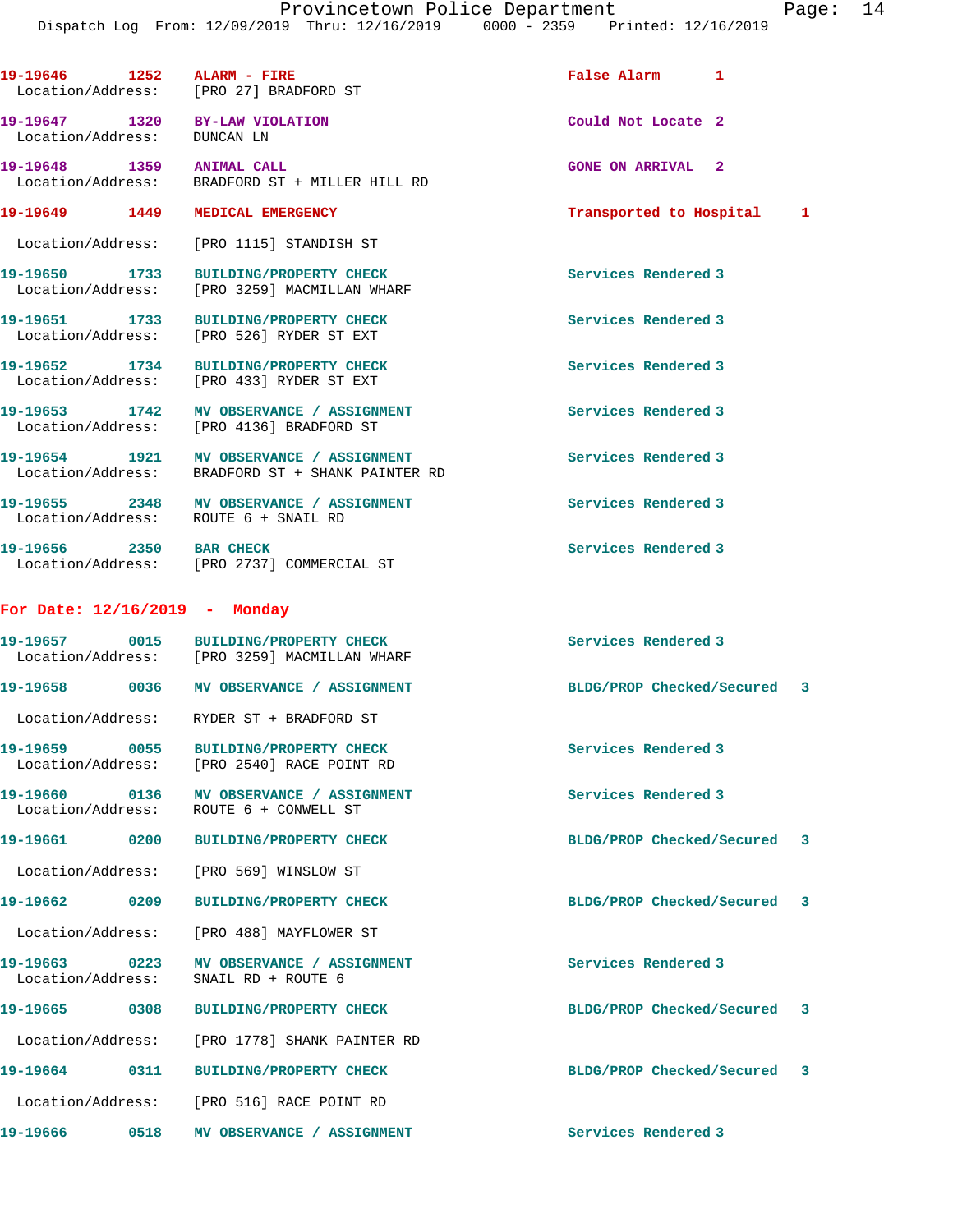| 19-19646 1252                                                 | ALARM - FIRE<br>Location/Address: [PRO 27] BRADFORD ST                                                              | False Alarm 1               |  |
|---------------------------------------------------------------|---------------------------------------------------------------------------------------------------------------------|-----------------------------|--|
| 19-19647 1320 BY-LAW VIOLATION<br>Location/Address: DUNCAN LN |                                                                                                                     | Could Not Locate 2          |  |
| 19-19648 1359 ANIMAL CALL                                     | Location/Address: BRADFORD ST + MILLER HILL RD                                                                      | <b>GONE ON ARRIVAL 2</b>    |  |
| 19-19649 1449 MEDICAL EMERGENCY                               |                                                                                                                     | Transported to Hospital 1   |  |
|                                                               | Location/Address: [PRO 1115] STANDISH ST                                                                            |                             |  |
|                                                               | 19-19650 1733 BUILDING/PROPERTY CHECK<br>Location/Address: [PRO 3259] MACMILLAN WHARF                               | Services Rendered 3         |  |
|                                                               | 19-19651 1733 BUILDING/PROPERTY CHECI<br>Location/Address: [PRO 526] RYDER ST EXT<br>BUILDING/PROPERTY CHECK        | Services Rendered 3         |  |
|                                                               | 19-19652 1734 BUILDING/PROPERTY CHECI<br>Location/Address: [PRO 433] RYDER ST EXT<br><b>BUILDING/PROPERTY CHECK</b> | Services Rendered 3         |  |
|                                                               | 19-19653 1742 MV OBSERVANCE / ASSIGNMENT<br>Location/Address: [PRO 4136] BRADFORD ST                                | Services Rendered 3         |  |
|                                                               | 19-19654 1921 MV OBSERVANCE / ASSIGNMENT<br>Location/Address: BRADFORD ST + SHANK PAINTER RD                        | Services Rendered 3         |  |
| Location/Address: ROUTE 6 + SNAIL RD                          | 19-19655 2348 MV OBSERVANCE / ASSIGNMENT                                                                            | Services Rendered 3         |  |
| 19-19656 2350 BAR CHECK                                       | Location/Address: [PRO 2737] COMMERCIAL ST                                                                          | Services Rendered 3         |  |
| For Date: $12/16/2019$ - Monday                               |                                                                                                                     |                             |  |
|                                                               | 19-19657 0015 BUILDING/PROPERTY CHECK<br>Location/Address: [PRO 3259] MACMILLAN WHARF                               | Services Rendered 3         |  |
|                                                               |                                                                                                                     | BLDG/PROP Checked/Secured 3 |  |
|                                                               | Location/Address: RYDER ST + BRADFORD ST                                                                            |                             |  |
|                                                               | Location/Address: [PRO 2540] RACE POINT RD                                                                          | Services Rendered 3         |  |
| 19-19660 0136                                                 | MV OBSERVANCE / ASSIGNMENT<br>Location/Address: ROUTE 6 + CONWELL ST                                                | Services Rendered 3         |  |
|                                                               |                                                                                                                     | BLDG/PROP Checked/Secured 3 |  |
|                                                               | Location/Address: [PRO 569] WINSLOW ST                                                                              |                             |  |
| 19-19662 0209                                                 | <b>BUILDING/PROPERTY CHECK</b>                                                                                      | BLDG/PROP Checked/Secured 3 |  |
|                                                               | Location/Address: [PRO 488] MAYFLOWER ST                                                                            |                             |  |
| Location/Address:                                             | SNAIL RD + ROUTE 6                                                                                                  | Services Rendered 3         |  |
|                                                               |                                                                                                                     | BLDG/PROP Checked/Secured 3 |  |
|                                                               | Location/Address: [PRO 1778] SHANK PAINTER RD                                                                       |                             |  |
|                                                               |                                                                                                                     | BLDG/PROP Checked/Secured 3 |  |
|                                                               | Location/Address: [PRO 516] RACE POINT RD                                                                           |                             |  |
| 19–19666                                                      | 0518 MV OBSERVANCE / ASSIGNMENT                                                                                     | Services Rendered 3         |  |